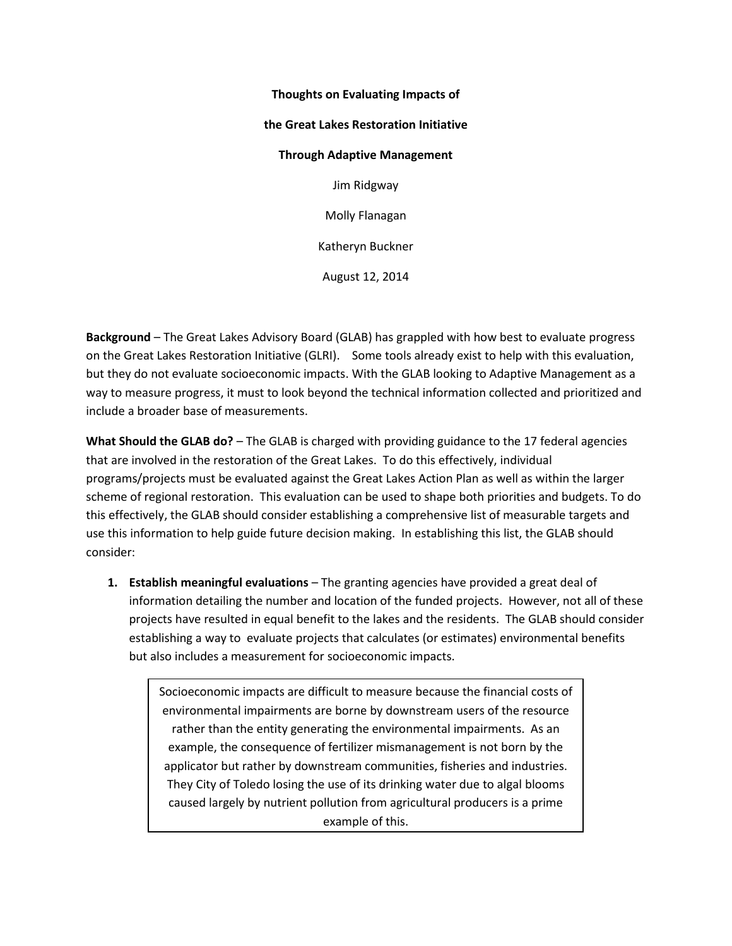## **Thoughts on Evaluating Impacts of the Great Lakes Restoration Initiative Through Adaptive Management**  Jim Ridgway Molly Flanagan Katheryn Buckner August 12, 2014

**Background** – The Great Lakes Advisory Board (GLAB) has grappled with how best to evaluate progress on the Great Lakes Restoration Initiative (GLRI). Some tools already exist to help with this evaluation, but they do not evaluate socioeconomic impacts. With the GLAB looking to Adaptive Management as a way to measure progress, it must to look beyond the technical information collected and prioritized and include a broader base of measurements.

**What Should the GLAB do?** – The GLAB is charged with providing guidance to the 17 federal agencies that are involved in the restoration of the Great Lakes. To do this effectively, individual programs/projects must be evaluated against the Great Lakes Action Plan as well as within the larger scheme of regional restoration. This evaluation can be used to shape both priorities and budgets. To do this effectively, the GLAB should consider establishing a comprehensive list of measurable targets and use this information to help guide future decision making. In establishing this list, the GLAB should consider:

**1. Establish meaningful evaluations** – The granting agencies have provided a great deal of information detailing the number and location of the funded projects. However, not all of these projects have resulted in equal benefit to the lakes and the residents. The GLAB should consider establishing a way to evaluate projects that calculates (or estimates) environmental benefits but also includes a measurement for socioeconomic impacts.

Socioeconomic impacts are difficult to measure because the financial costs of environmental impairments are borne by downstream users of the resource rather than the entity generating the environmental impairments. As an example, the consequence of fertilizer mismanagement is not born by the applicator but rather by downstream communities, fisheries and industries. They City of Toledo losing the use of its drinking water due to algal blooms caused largely by nutrient pollution from agricultural producers is a prime example of this.